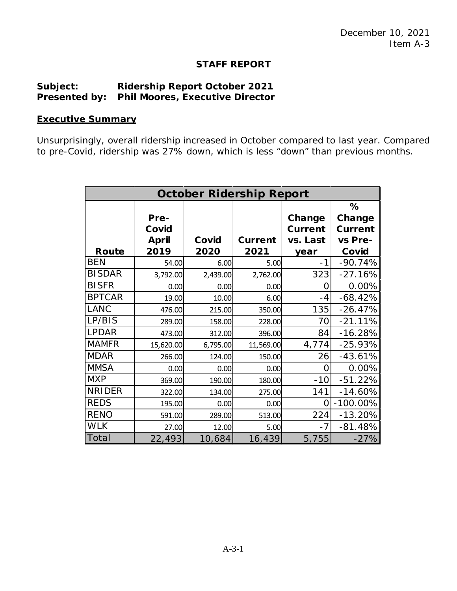## **STAFF REPORT**

## **Subject: Ridership Report October 2021 Presented by: Phil Moores, Executive Director**

## **Executive Summary**

Unsurprisingly, overall ridership increased in October compared to last year. Compared to pre-Covid, ridership was 27% down, which is less "down" than previous months.

| <b>October Ridership Report</b> |                                       |               |                        |                                              |                                                   |
|---------------------------------|---------------------------------------|---------------|------------------------|----------------------------------------------|---------------------------------------------------|
| Route                           | Pre-<br>Covid<br><b>April</b><br>2019 | Covid<br>2020 | <b>Current</b><br>2021 | Change<br><b>Current</b><br>vs. Last<br>year | %<br>Change<br><b>Current</b><br>vs Pre-<br>Covid |
| <b>BEN</b>                      | 54.00                                 | 6.00          | 5.00                   | $-1$                                         | $-90.74%$                                         |
| <b>BISDAR</b>                   | 3,792.00                              | 2,439.00      | 2,762.00               | 323                                          | $-27.16%$                                         |
| <b>BISFR</b>                    | 0.00                                  | 0.00          | 0.00                   | Ω                                            | 0.00%                                             |
| <b>BPTCAR</b>                   | 19.00                                 | 10.00         | 6.00                   | -4                                           | $-68.42%$                                         |
| <b>LANC</b>                     | 476.00                                | 215.00        | 350.00                 | 135                                          | $-26.47%$                                         |
| LP/BIS                          | 289.00                                | 158.00        | 228.00                 | 70                                           | $-21.11%$                                         |
| <b>LPDAR</b>                    | 473.00                                | 312.00        | 396.00                 | 84                                           | $-16.28%$                                         |
| <b>MAMFR</b>                    | 15,620.00                             | 6,795.00      | 11,569.00              | 4,774                                        | $-25.93%$                                         |
| <b>MDAR</b>                     | 266.00                                | 124.00        | 150.00                 | 26                                           | $-43.61%$                                         |
| <b>MMSA</b>                     | 0.00                                  | 0.00          | 0.00                   | Ω                                            | 0.00%                                             |
| <b>MXP</b>                      | 369.00                                | 190.00        | 180.00                 | $-10$                                        | $-51.22%$                                         |
| <b>NRIDER</b>                   | 322.00                                | 134.00        | 275.00                 | 141                                          | $-14.60%$                                         |
| <b>REDS</b>                     | 195.00                                | 0.00          | 0.00                   | Ω                                            | $-100.00\%$                                       |
| <b>RENO</b>                     | 591.00                                | 289.00        | 513.00                 | 224                                          | $-13.20%$                                         |
| <b>WLK</b>                      | 27.00                                 | 12.00         | 5.00                   | $-7$                                         | $-81.48%$                                         |
| Total                           | 22,493                                | 10,684        | 16,439                 | 5,755                                        | $-27%$                                            |